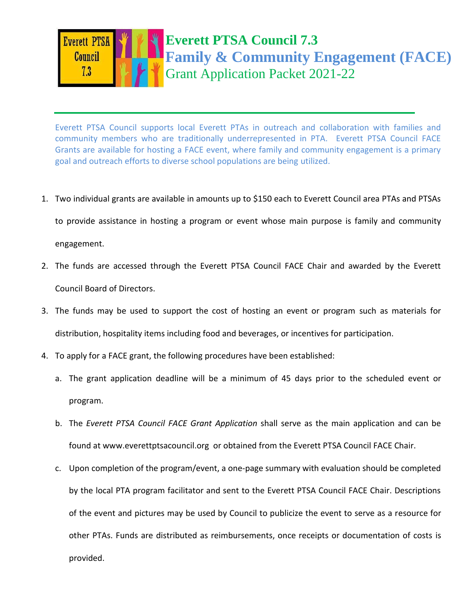

Everett PTSA Council supports local Everett PTAs in outreach and collaboration with families and Ecommunity members who are traditionally underrepresented in PTA. Everett PTSA Council FACE Grants are available for hosting a FACE event, where family and community engagement is a primary goal and outreach efforts to diverse school populations are being utilized.

1. Two individual grants are available in amounts up to \$150 each to Everett Council area PTAs and PTSAs

to provide assistance in hosting a program or event whose main purpose is family and community

engagement.

- 2. The funds are accessed through the Everett PTSA Council FACE Chair and awarded by the Everett Council Board of Directors.
- 3. The funds may be used to support the cost of hosting an event or program such as materials for distribution, hospitality items including food and beverages, or incentives for participation.
- 4. To apply for a FACE grant, the following procedures have been established:
	- a. The grant application deadline will be a minimum of 45 days prior to the scheduled event or program.
	- b. The *Everett PTSA Council FACE Grant Application* shall serve as the main application and can be found at www.everettptsacouncil.org or obtained from the Everett PTSA Council FACE Chair.
	- c. Upon completion of the program/event, a one-page summary with evaluation should be completed by the local PTA program facilitator and sent to the Everett PTSA Council FACE Chair. Descriptions of the event and pictures may be used by Council to publicize the event to serve as a resource for other PTAs. Funds are distributed as reimbursements, once receipts or documentation of costs is provided.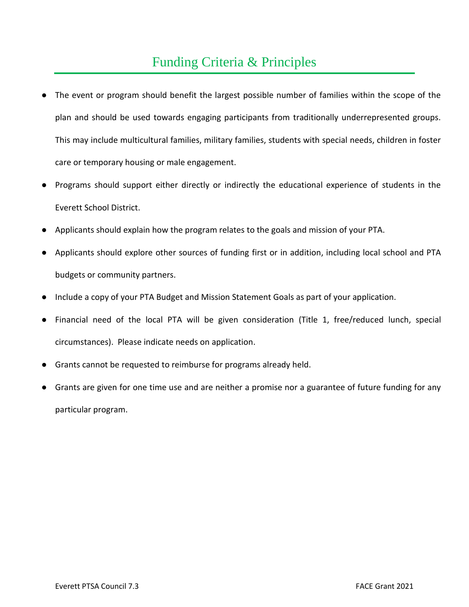## Funding Criteria & Principles

- The event or program should benefit the largest possible number of families within the scope of the plan and should be used towards engaging participants from traditionally underrepresented groups. This may include multicultural families, military families, students with special needs, children in foster care or temporary housing or male engagement.
- Programs should support either directly or indirectly the educational experience of students in the Everett School District.
- Applicants should explain how the program relates to the goals and mission of your PTA.
- Applicants should explore other sources of funding first or in addition, including local school and PTA budgets or community partners.
- Include a copy of your PTA Budget and Mission Statement Goals as part of your application.
- Financial need of the local PTA will be given consideration (Title 1, free/reduced lunch, special circumstances). Please indicate needs on application.
- Grants cannot be requested to reimburse for programs already held.
- Grants are given for one time use and are neither a promise nor a guarantee of future funding for any particular program.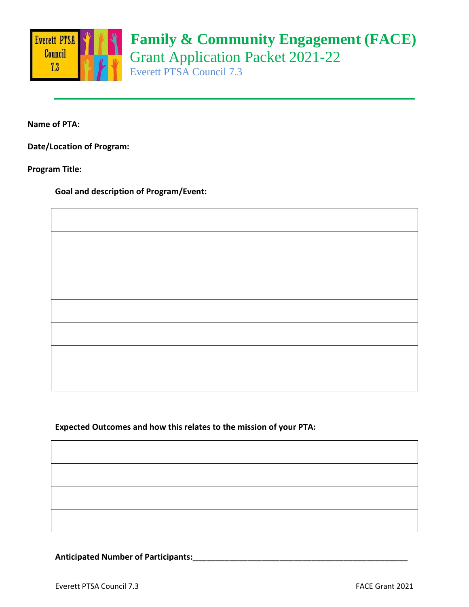

## **Family & Community Engagement (FACE)** Grant Application Packet 2021-22 Everett PTSA Council 7.3

**Name of PTA:** 

**Date/Location of Program:** 

**Program Title:** 

**Goal and description of Program/Event:**

E

**Expected Outcomes and how this relates to the mission of your PTA:**

## **Anticipated Number of Participants:\_\_\_\_\_\_\_\_\_\_\_\_\_\_\_\_\_\_\_\_\_\_\_\_\_\_\_\_\_\_\_\_\_\_\_\_\_\_\_\_\_\_\_\_\_\_\_**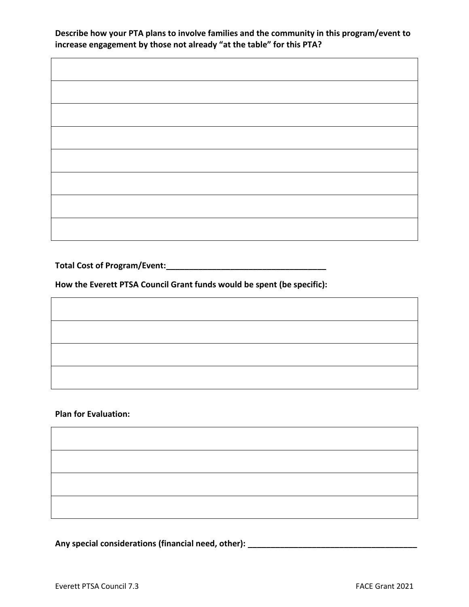**Describe how your PTA plans to involve families and the community in this program/event to increase engagement by those not already "at the table" for this PTA?**

**Total Cost of Program/Event:\_\_\_\_\_\_\_\_\_\_\_\_\_\_\_\_\_\_\_\_\_\_\_\_\_\_\_\_\_\_\_\_\_\_\_**

Г

**How the Everett PTSA Council Grant funds would be spent (be specific):**

**Plan for Evaluation:**

**Any special considerations (financial need, other): \_\_\_\_\_\_\_\_\_\_\_\_\_\_\_\_\_\_\_\_\_\_\_\_\_\_\_\_\_\_\_\_\_\_\_\_\_**

٦